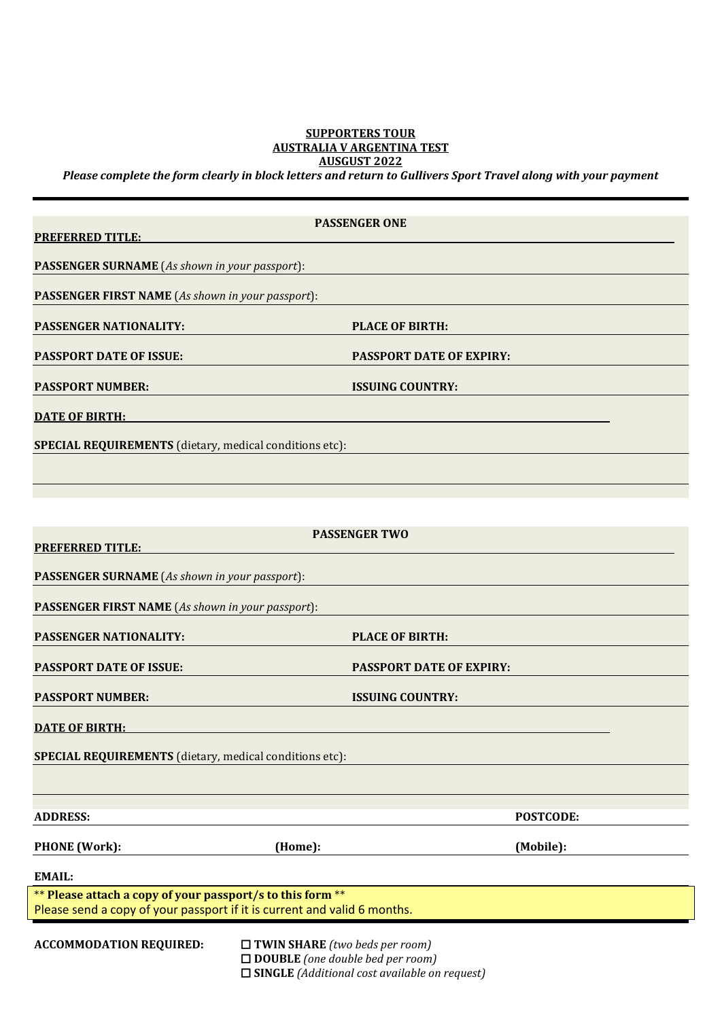# **SUPPORTERS TOUR AUSTRALIA V ARGENTINA TEST AUSGUST 2022**

*Please complete the form clearly in block letters and return to Gullivers Sport Travel along with your payment*

|                                                                                                                    | <b>PASSENGER ONE</b>                                                     |                                 |  |  |
|--------------------------------------------------------------------------------------------------------------------|--------------------------------------------------------------------------|---------------------------------|--|--|
| <b>PREFERRED TITLE:</b>                                                                                            |                                                                          |                                 |  |  |
| <b>PASSENGER SURNAME</b> (As shown in your passport):                                                              |                                                                          |                                 |  |  |
| <b>PASSENGER FIRST NAME</b> (As shown in your passport):                                                           |                                                                          |                                 |  |  |
| <b>PASSENGER NATIONALITY:</b>                                                                                      |                                                                          | <b>PLACE OF BIRTH:</b>          |  |  |
| <b>PASSPORT DATE OF ISSUE:</b>                                                                                     |                                                                          | <b>PASSPORT DATE OF EXPIRY:</b> |  |  |
| <b>PASSPORT NUMBER:</b>                                                                                            |                                                                          | <b>ISSUING COUNTRY:</b>         |  |  |
| <b>DATE OF BIRTH:</b>                                                                                              |                                                                          |                                 |  |  |
| SPECIAL REQUIREMENTS (dietary, medical conditions etc):                                                            |                                                                          |                                 |  |  |
|                                                                                                                    |                                                                          |                                 |  |  |
|                                                                                                                    |                                                                          |                                 |  |  |
|                                                                                                                    | <b>PASSENGER TWO</b>                                                     |                                 |  |  |
| <b>PREFERRED TITLE:</b>                                                                                            |                                                                          |                                 |  |  |
| <b>PASSENGER SURNAME</b> (As shown in your passport):                                                              |                                                                          |                                 |  |  |
| <b>PASSENGER FIRST NAME</b> (As shown in your passport):                                                           |                                                                          |                                 |  |  |
| <b>PLACE OF BIRTH:</b><br><b>PASSENGER NATIONALITY:</b>                                                            |                                                                          |                                 |  |  |
| <b>PASSPORT DATE OF ISSUE:</b>                                                                                     | <b>PASSPORT DATE OF EXPIRY:</b>                                          |                                 |  |  |
| <b>PASSPORT NUMBER:</b>                                                                                            | <b>ISSUING COUNTRY:</b>                                                  |                                 |  |  |
| <b>DATE OF BIRTH:</b>                                                                                              |                                                                          |                                 |  |  |
| SPECIAL REQUIREMENTS (dietary, medical conditions etc):                                                            |                                                                          |                                 |  |  |
|                                                                                                                    |                                                                          |                                 |  |  |
| <b>ADDRESS:</b>                                                                                                    |                                                                          | <b>POSTCODE:</b>                |  |  |
| <b>PHONE</b> (Work):                                                                                               | (Home):                                                                  | (Mobile):                       |  |  |
| <b>EMAIL:</b>                                                                                                      |                                                                          |                                 |  |  |
| ** Please attach a copy of your passport/s to this form **                                                         |                                                                          |                                 |  |  |
|                                                                                                                    | Please send a copy of your passport if it is current and valid 6 months. |                                 |  |  |
| <b>ACCOMMODATION REQUIRED:</b><br>$\Box$ TWIN SHARE (two beds per room)<br>$\Box$ DOUBLE (one double bed per room) |                                                                          |                                 |  |  |

**SINGLE** *(Additional cost available on request)*